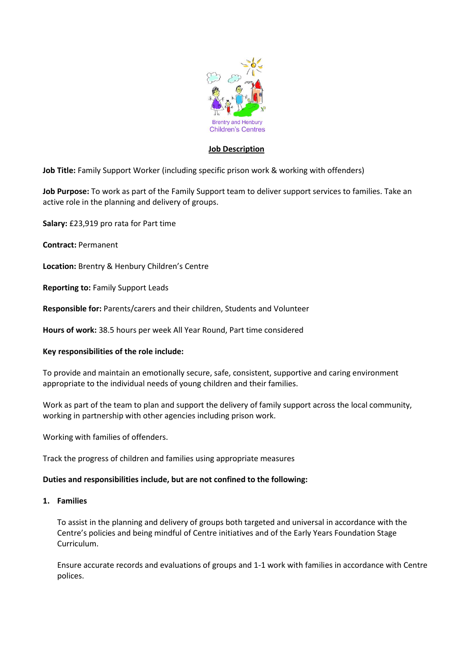

## **Job Description**

**Job Title:** Family Support Worker (including specific prison work & working with offenders)

**Job Purpose:** To work as part of the Family Support team to deliver support services to families. Take an active role in the planning and delivery of groups.

**Salary:** £23,919 pro rata for Part time

**Contract:** Permanent

**Location:** Brentry & Henbury Children's Centre

**Reporting to:** Family Support Leads

**Responsible for:** Parents/carers and their children, Students and Volunteer

**Hours of work:** 38.5 hours per week All Year Round, Part time considered

#### **Key responsibilities of the role include:**

To provide and maintain an emotionally secure, safe, consistent, supportive and caring environment appropriate to the individual needs of young children and their families.

Work as part of the team to plan and support the delivery of family support across the local community, working in partnership with other agencies including prison work.

Working with families of offenders.

Track the progress of children and families using appropriate measures

#### **Duties and responsibilities include, but are not confined to the following:**

## **1. Families**

To assist in the planning and delivery of groups both targeted and universal in accordance with the Centre's policies and being mindful of Centre initiatives and of the Early Years Foundation Stage Curriculum.

Ensure accurate records and evaluations of groups and 1-1 work with families in accordance with Centre polices.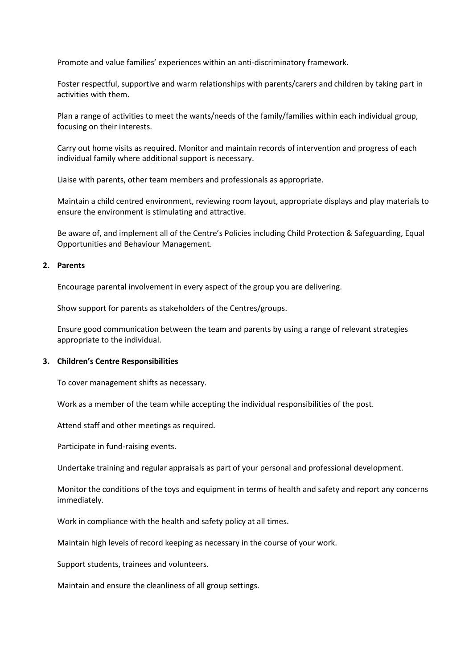Promote and value families' experiences within an anti-discriminatory framework.

Foster respectful, supportive and warm relationships with parents/carers and children by taking part in activities with them.

Plan a range of activities to meet the wants/needs of the family/families within each individual group, focusing on their interests.

Carry out home visits as required. Monitor and maintain records of intervention and progress of each individual family where additional support is necessary.

Liaise with parents, other team members and professionals as appropriate.

Maintain a child centred environment, reviewing room layout, appropriate displays and play materials to ensure the environment is stimulating and attractive.

Be aware of, and implement all of the Centre's Policies including Child Protection & Safeguarding, Equal Opportunities and Behaviour Management.

#### **2. Parents**

Encourage parental involvement in every aspect of the group you are delivering.

Show support for parents as stakeholders of the Centres/groups.

Ensure good communication between the team and parents by using a range of relevant strategies appropriate to the individual.

#### **3. Children's Centre Responsibilities**

To cover management shifts as necessary.

Work as a member of the team while accepting the individual responsibilities of the post.

Attend staff and other meetings as required.

Participate in fund-raising events.

Undertake training and regular appraisals as part of your personal and professional development.

Monitor the conditions of the toys and equipment in terms of health and safety and report any concerns immediately.

Work in compliance with the health and safety policy at all times.

Maintain high levels of record keeping as necessary in the course of your work.

Support students, trainees and volunteers.

Maintain and ensure the cleanliness of all group settings.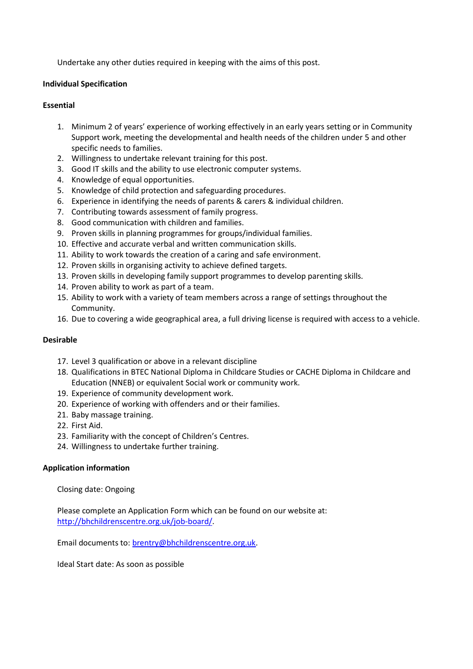Undertake any other duties required in keeping with the aims of this post.

#### **Individual Specification**

#### **Essential**

- 1. Minimum 2 of years' experience of working effectively in an early years setting or in Community Support work, meeting the developmental and health needs of the children under 5 and other specific needs to families.
- 2. Willingness to undertake relevant training for this post.
- 3. Good IT skills and the ability to use electronic computer systems.
- 4. Knowledge of equal opportunities.
- 5. Knowledge of child protection and safeguarding procedures.
- 6. Experience in identifying the needs of parents & carers & individual children.
- 7. Contributing towards assessment of family progress.
- 8. Good communication with children and families.
- 9. Proven skills in planning programmes for groups/individual families.
- 10. Effective and accurate verbal and written communication skills.
- 11. Ability to work towards the creation of a caring and safe environment.
- 12. Proven skills in organising activity to achieve defined targets.
- 13. Proven skills in developing family support programmes to develop parenting skills.
- 14. Proven ability to work as part of a team.
- 15. Ability to work with a variety of team members across a range of settings throughout the Community.
- 16. Due to covering a wide geographical area, a full driving license is required with access to a vehicle.

# **Desirable**

- 17. Level 3 qualification or above in a relevant discipline
- 18. Qualifications in BTEC National Diploma in Childcare Studies or CACHE Diploma in Childcare and Education (NNEB) or equivalent Social work or community work.
- 19. Experience of community development work.
- 20. Experience of working with offenders and or their families.
- 21. Baby massage training.
- 22. First Aid.
- 23. Familiarity with the concept of Children's Centres.
- 24. Willingness to undertake further training.

# **Application information**

Closing date: Ongoing

Please complete an Application Form which can be found on our website at: [http://bhchildrenscentre.org.uk/job-board/.](http://bhchildrenscentre.org.uk/job-board/)

Email documents to: [brentry@bhchildrenscentre.org.uk.](mailto:brentry@bhchildrenscentre.org.uk)

Ideal Start date: As soon as possible